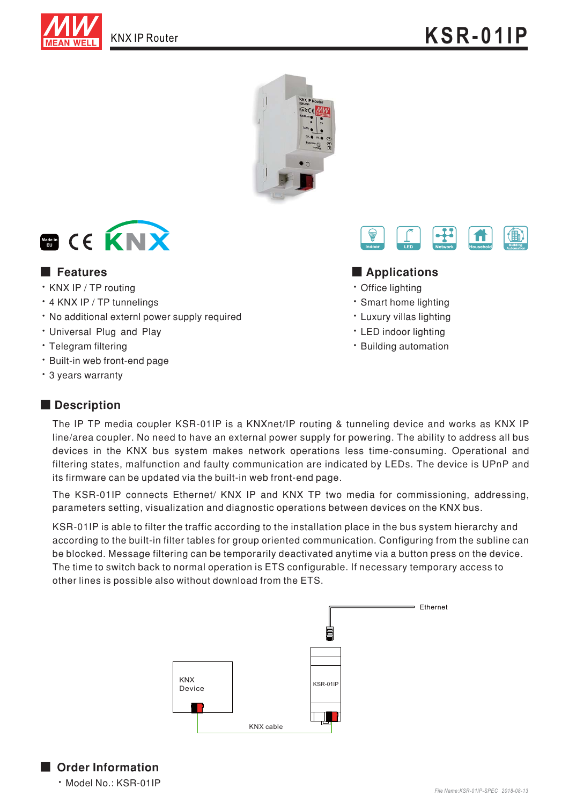





### ■ Features ■ **Definition**

- · KNX IP / TP routing
- · 4 KNX IP / TP tunnelings
- · No additional externl power supply required
- · Universal Plug and Play
- · Telegram filtering
- · Built-in web front-end page
- · 3 years warranty

• LED indoor lighting · Building automation

• Office lighting • Smart home lighting • Luxury villas lighting

## ■ **Description**

The IP TP media coupler KSR-01IP is a KNXnet/IP routing & tunneling device and works as KNX IP line/area coupler. No need to have an external power supply for powering. The ability to address all bus devices in the KNX bus system makes network operations less time-consuming. Operational and filtering states, malfunction and faulty communication are indicated by LEDs. The device is UPnP and its firmware can be updated via the built-in web front-end page.

The KSR-01IP connects Ethernet/ KNX IP and KNX TP two media for commissioning, addressing, parameters setting, visualization and diagnostic operations between devices on the KNX bus.

KSR-01IP is able to filter the traffic according to the installation place in the bus system hierarchy and according to the built-in filter tables for group oriented communication. Configuring from the subline can be blocked. Message filtering can be temporarily deactivated anytime via a button press on the device. The time to switch back to normal operation is ETS configurable. If necessary temporary access to other lines is possible also without download from the ETS.



■ Order Information . Model No.: KSR-01IP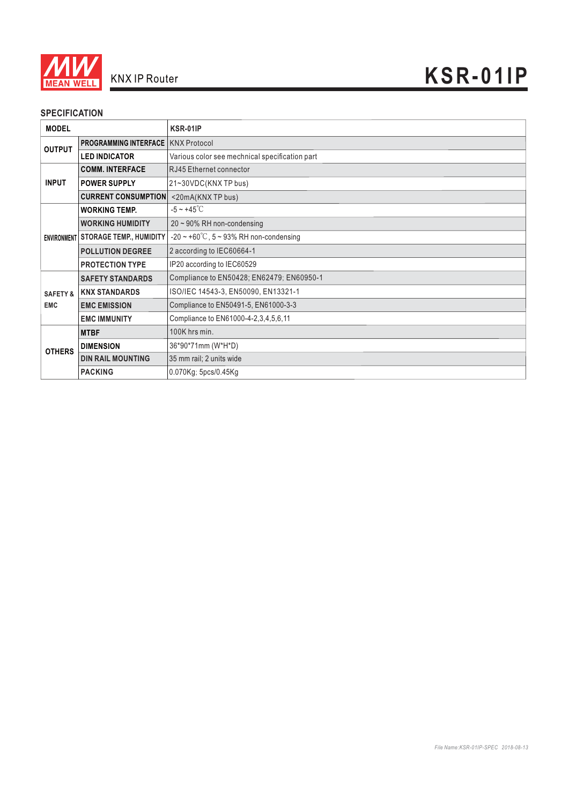

#### **SPECIFICATION**

| <b>MODEL</b>                      |                                             | <b>KSR-01IP</b>                                     |
|-----------------------------------|---------------------------------------------|-----------------------------------------------------|
| <b>OUTPUT</b>                     | <b>PROGRAMMING INTERFACE   KNX Protocol</b> |                                                     |
|                                   | <b>LED INDICATOR</b>                        | Various color see mechnical specification part      |
| <b>INPUT</b>                      | <b>COMM. INTERFACE</b>                      | RJ45 Ethernet connector                             |
|                                   | <b>POWER SUPPLY</b>                         | 21~30VDC(KNX TP bus)                                |
|                                   | <b>CURRENT CONSUMPTION</b>                  | <20mA(KNXTP bus)                                    |
|                                   | <b>WORKING TEMP.</b>                        | $-5 \sim +45^{\circ}$ C                             |
|                                   | <b>WORKING HUMIDITY</b>                     | 20 ~ 90% RH non-condensing                          |
|                                   | ENVIRONMENT STORAGE TEMP., HUMIDITY         | $-20 \sim +60^{\circ}$ C, 5 ~ 93% RH non-condensing |
|                                   | <b>POLLUTION DEGREE</b>                     | 2 according to IEC60664-1                           |
|                                   | <b>PROTECTION TYPE</b>                      | IP20 according to IEC60529                          |
| <b>SAFETY &amp;</b><br><b>EMC</b> | <b>SAFETY STANDARDS</b>                     | Compliance to EN50428; EN62479; EN60950-1           |
|                                   | <b>KNX STANDARDS</b>                        | ISO/IEC 14543-3, EN50090, EN13321-1                 |
|                                   | <b>EMC EMISSION</b>                         | Compliance to EN50491-5, EN61000-3-3                |
|                                   | <b>EMC IMMUNITY</b>                         | Compliance to EN61000-4-2,3,4,5,6,11                |
| <b>OTHERS</b>                     | <b>MTBF</b>                                 | 100K hrs min.                                       |
|                                   | <b>DIMENSION</b>                            | 36*90*71mm (W*H*D)                                  |
|                                   | <b>DIN RAIL MOUNTING</b>                    | 35 mm rail; 2 units wide                            |
|                                   | <b>PACKING</b>                              | 0.070Kg; 5pcs/0.45Kg                                |